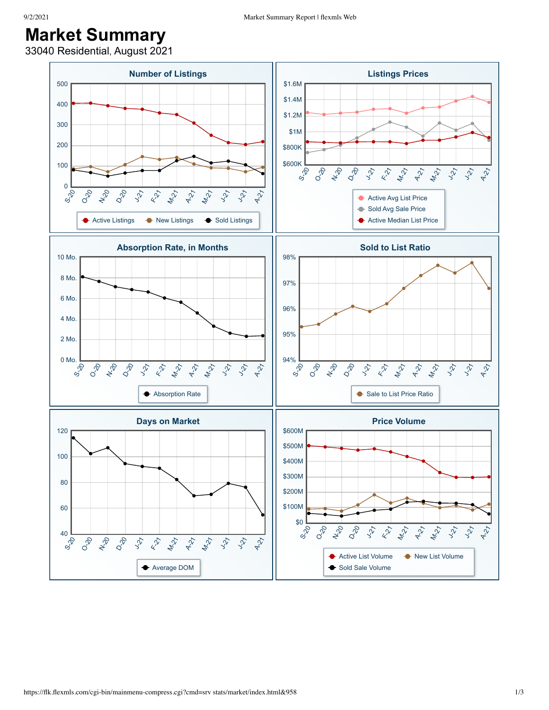## **Market Summary**

33040 Residential, August 2021

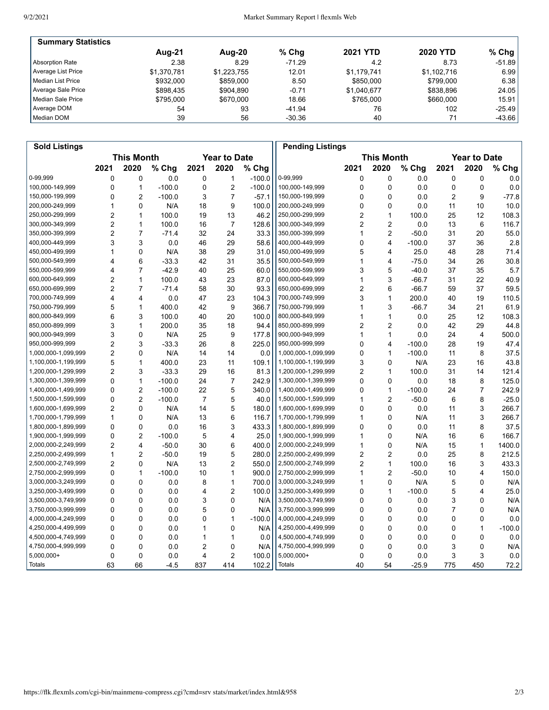| <b>Summary Statistics</b> |             |             |          |                 |                 |          |
|---------------------------|-------------|-------------|----------|-----------------|-----------------|----------|
|                           | Aug-21      | Aug-20      | $%$ Chg  | <b>2021 YTD</b> | <b>2020 YTD</b> | $%$ Chg  |
| Absorption Rate           | 2.38        | 8.29        | $-71.29$ | 4.2             | 8.73            | $-51.89$ |
| Average List Price        | \$1.370.781 | \$1.223.755 | 12.01    | \$1.179.741     | \$1,102,716     | 6.99     |
| l Median List Price       | \$932,000   | \$859,000   | 8.50     | \$850,000       | \$799.000       | 6.38     |
| Average Sale Price        | \$898.435   | \$904.890   | $-0.71$  | \$1.040.677     | \$838.896       | 24.05    |
| Median Sale Price         | \$795.000   | \$670,000   | 18.66    | \$765,000       | \$660,000       | 15.91    |
| Average DOM               | 54          | 93          | $-41.94$ | 76              | 102             | $-25.49$ |
| Median DOM                | 39          | 56          | $-30.36$ | 40              |                 | $-43.66$ |

| <b>Sold Listings</b> |                                          |                |          |                |                |                                          | <b>Pending Listings</b> |                |                |          |                |                |          |
|----------------------|------------------------------------------|----------------|----------|----------------|----------------|------------------------------------------|-------------------------|----------------|----------------|----------|----------------|----------------|----------|
|                      | <b>This Month</b><br><b>Year to Date</b> |                |          |                |                | <b>This Month</b><br><b>Year to Date</b> |                         |                |                |          |                |                |          |
|                      | 2021                                     | 2020           | % Chg    | 2021           | 2020           | % Chg                                    |                         | 2021           | 2020           | % Chg    | 2021           | 2020           | % Chg    |
| 0-99,999             | 0                                        | 0              | 0.0      | $\mathbf{0}$   | $\mathbf{1}$   | $-100.0$                                 | 0-99,999                | 0              | $\mathbf{0}$   | 0.0      | 0              | 0              | 0.0      |
| 100,000-149,999      | 0                                        | 1              | $-100.0$ | 0              | $\overline{2}$ | $-100.0$                                 | 100,000-149,999         | 0              | $\mathbf 0$    | 0.0      | 0              | 0              | 0.0      |
| 150,000-199,999      | 0                                        | $\overline{2}$ | $-100.0$ | 3              | $\overline{7}$ | $-57.1$                                  | 150,000-199,999         | 0              | $\mathbf{0}$   | 0.0      | 2              | 9              | $-77.8$  |
| 200,000-249,999      | 1                                        | 0              | N/A      | 18             | 9              | 100.0                                    | 200,000-249,999         | 0              | $\mathbf 0$    | 0.0      | 11             | 10             | 10.0     |
| 250,000-299,999      | $\overline{2}$                           | 1              | 100.0    | 19             | 13             | 46.2                                     | 250,000-299,999         | 2              | 1              | 100.0    | 25             | 12             | 108.3    |
| 300,000-349,999      | $\overline{c}$                           | 1              | 100.0    | 16             | $\overline{7}$ | 128.6                                    | 300,000-349,999         | 2              | $\overline{2}$ | 0.0      | 13             | 6              | 116.7    |
| 350,000-399,999      | $\overline{2}$                           | $\overline{7}$ | $-71.4$  | 32             | 24             | 33.3                                     | 350,000-399,999         | 1              | $\overline{c}$ | $-50.0$  | 31             | 20             | 55.0     |
| 400,000-449,999      | 3                                        | 3              | 0.0      | 46             | 29             | 58.6                                     | 400,000-449,999         | 0              | 4              | $-100.0$ | 37             | 36             | 2.8      |
| 450,000-499,999      | 1                                        | 0              | N/A      | 38             | 29             | 31.0                                     | 450,000-499,999         | 5              | 4              | 25.0     | 48             | 28             | 71.4     |
| 500,000-549,999      | 4                                        | 6              | $-33.3$  | 42             | 31             | 35.5                                     | 500,000-549,999         | 1              | 4              | $-75.0$  | 34             | 26             | 30.8     |
| 550,000-599,999      | 4                                        | 7              | $-42.9$  | 40             | 25             | 60.0                                     | 550,000-599,999         | 3              | 5              | $-40.0$  | 37             | 35             | 5.7      |
| 600,000-649,999      | $\overline{2}$                           | 1              | 100.0    | 43             | 23             | 87.0                                     | 600,000-649,999         | 1              | 3              | $-66.7$  | 31             | 22             | 40.9     |
| 650,000-699,999      | $\overline{2}$                           | $\overline{7}$ | $-71.4$  | 58             | 30             | 93.3                                     | 650,000-699,999         | $\overline{2}$ | 6              | $-66.7$  | 59             | 37             | 59.5     |
| 700,000-749,999      | 4                                        | 4              | 0.0      | 47             | 23             | 104.3                                    | 700,000-749,999         | 3              | 1              | 200.0    | 40             | 19             | 110.5    |
| 750,000-799,999      | 5                                        | 1              | 400.0    | 42             | 9              | 366.7                                    | 750,000-799,999         | 1              | 3              | $-66.7$  | 34             | 21             | 61.9     |
| 800,000-849,999      | 6                                        | 3              | 100.0    | 40             | 20             | 100.0                                    | 800,000-849,999         | 1              | 1              | 0.0      | 25             | 12             | 108.3    |
| 850,000-899,999      | 3                                        | 1              | 200.0    | 35             | 18             | 94.4                                     | 850,000-899,999         | $\overline{2}$ | 2              | 0.0      | 42             | 29             | 44.8     |
| 900,000-949,999      | 3                                        | 0              | N/A      | 25             | 9              | 177.8                                    | 900,000-949,999         | 1              | 1              | 0.0      | 24             | $\overline{4}$ | 500.0    |
| 950,000-999,999      | $\overline{2}$                           | 3              | $-33.3$  | 26             | 8              | 225.0                                    | 950,000-999,999         | 0              | $\overline{4}$ | $-100.0$ | 28             | 19             | 47.4     |
| 1,000,000-1,099,999  | $\overline{2}$                           | 0              | N/A      | 14             | 14             | 0.0                                      | 1,000,000-1,099,999     | 0              | 1              | $-100.0$ | 11             | 8              | 37.5     |
| 1,100,000-1,199,999  | 5                                        | 1              | 400.0    | 23             | 11             | 109.1                                    | 1,100,000-1,199,999     | 3              | $\Omega$       | N/A      | 23             | 16             | 43.8     |
| 1,200,000-1,299,999  | $\overline{2}$                           | 3              | $-33.3$  | 29             | 16             | 81.3                                     | 1,200,000-1,299,999     | 2              | 1              | 100.0    | 31             | 14             | 121.4    |
| 1,300,000-1,399,999  | 0                                        | $\mathbf{1}$   | $-100.0$ | 24             | $\overline{7}$ | 242.9                                    | 1,300,000-1,399,999     | 0              | $\mathbf{0}$   | 0.0      | 18             | 8              | 125.0    |
| 1,400,000-1,499,999  | 0                                        | 2              | $-100.0$ | 22             | 5              | 340.0                                    | 1,400,000-1,499,999     | 0              | $\mathbf{1}$   | $-100.0$ | 24             | $\overline{7}$ | 242.9    |
| 1,500,000-1,599,999  | 0                                        | $\overline{2}$ | $-100.0$ | $\overline{7}$ | 5              | 40.0                                     | 1,500,000-1,599,999     | 1              | $\overline{2}$ | $-50.0$  | 6              | 8              | $-25.0$  |
| 1,600,000-1,699,999  | $\overline{2}$                           | 0              | N/A      | 14             | 5              | 180.0                                    | 1,600,000-1,699,999     | 0              | $\mathbf{0}$   | 0.0      | 11             | 3              | 266.7    |
| 1,700,000-1,799,999  | 1                                        | 0              | N/A      | 13             | 6              | 116.7                                    | 1,700,000-1,799,999     | 1              | $\mathbf 0$    | N/A      | 11             | 3              | 266.7    |
| 1,800,000-1,899,999  | 0                                        | $\mathbf{0}$   | 0.0      | 16             | 3              | 433.3                                    | 1,800,000-1,899,999     | 0              | $\mathbf{0}$   | 0.0      | 11             | 8              | 37.5     |
| 1,900,000-1,999,999  | 0                                        | 2              | $-100.0$ | 5              | $\overline{4}$ | 25.0                                     | 1,900,000-1,999,999     | 1              | $\mathbf 0$    | N/A      | 16             | 6              | 166.7    |
| 2,000,000-2,249,999  | $\overline{2}$                           | 4              | $-50.0$  | 30             | 6              | 400.0                                    | 2,000,000-2,249,999     | 1              | $\mathbf 0$    | N/A      | 15             | $\mathbf{1}$   | 1400.0   |
| 2,250,000-2,499,999  | 1                                        | 2              | $-50.0$  | 19             | 5              | 280.0                                    | 2,250,000-2,499,999     | 2              | 2              | 0.0      | 25             | 8              | 212.5    |
| 2,500,000-2,749,999  | $\overline{c}$                           | 0              | N/A      | 13             | $\overline{c}$ | 550.0                                    | 2,500,000-2,749,999     | 2              | $\mathbf{1}$   | 100.0    | 16             | 3              | 433.3    |
| 2,750,000-2,999,999  | 0                                        | 1              | $-100.0$ | 10             | $\mathbf{1}$   | 900.0                                    | 2,750,000-2,999,999     | 1              | $\overline{2}$ | $-50.0$  | 10             | 4              | 150.0    |
| 3,000,000-3,249,999  | 0                                        | 0              | 0.0      | 8              | $\mathbf{1}$   | 700.0                                    | 3,000,000-3,249,999     | 1              | $\mathbf{0}$   | N/A      | 5              | 0              | N/A      |
| 3,250,000-3,499,999  | 0                                        | 0              | 0.0      | 4              | $\overline{2}$ | 100.0                                    | 3,250,000-3,499,999     | 0              | 1              | $-100.0$ | 5              | 4              | 25.0     |
| 3,500,000-3,749,999  | 0                                        | 0              | 0.0      | 3              | 0              | N/A                                      | 3,500,000-3,749,999     | 0              | $\mathbf 0$    | 0.0      | 3              | 0              | N/A      |
| 3,750,000-3,999,999  | 0                                        | 0              | 0.0      | 5              | 0              | N/A                                      | 3,750,000-3,999,999     | 0              | $\mathbf 0$    | 0.0      | $\overline{7}$ | 0              | N/A      |
| 4,000,000-4,249,999  | 0                                        | 0              | 0.0      | 0              | $\mathbf{1}$   | $-100.0$                                 | 4,000,000-4,249,999     | 0              | 0              | 0.0      | 0              | 0              | 0.0      |
| 4,250,000-4,499,999  | 0                                        | 0              | 0.0      | 1              | 0              | N/A                                      | 4,250,000-4,499,999     | 0              | $\mathbf{0}$   | 0.0      | 0              | $\mathbf{1}$   | $-100.0$ |
| 4,500,000-4,749,999  | 0                                        | 0              | 0.0      | 1              | $\mathbf{1}$   | 0.0                                      | 4,500,000-4,749,999     | 0              | $\mathbf 0$    | 0.0      | 0              | 0              | 0.0      |
| 4,750,000-4,999,999  | 0                                        | 0              | 0.0      | $\overline{2}$ | 0              | N/A                                      | 4,750,000-4,999,999     | 0              | $\Omega$       | 0.0      | 3              | 0              | N/A      |
| 5,000,000+           | 0                                        | 0              | 0.0      | 4              | $\overline{c}$ | 100.0                                    | 5,000,000+              | 0              | $\mathbf 0$    | 0.0      | 3              | 3              | 0.0      |
| Totals               | 63                                       | 66             | $-4.5$   | 837            | 414            | 102.2                                    | <b>Totals</b>           | 40             | 54             | $-25.9$  | 775            | 450            | 72.2     |